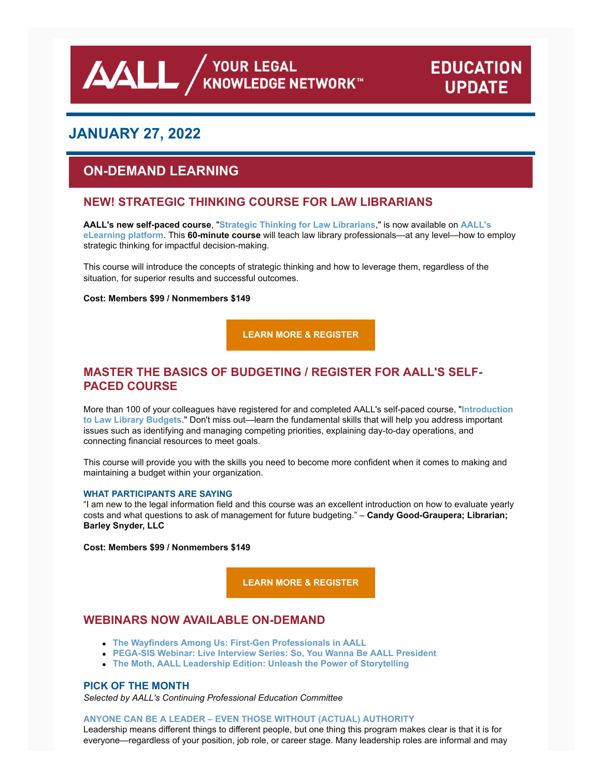**AALL** AND VOUR LEGAL

# **EDUCATION UPDATE**

# **JANUARY 27, 2022**

# **ON-DEMAND LEARNING**

# **NEW! STRATEGIC THINKING COURSE FOR LAW LIBRARIANS**

**AALL's new self-paced course**, "**[Strategic Thinking for Law Librarians](https://elearning.aallnet.org/products/strategic-thinking-for-law-librarians)**," is now available on **AALL's eLearning platform**. This **60-minute course** [will teach law library professionals—at any level—how to e](https://elearning.aallnet.org/)mploy strategic thinking for impactful decision-making.

This course will introduce the concepts of strategic thinking and how to leverage them, regardless of the situation, for superior results and successful outcomes.

#### **Cost: Members \$99 / Nonmembers \$149**

**[LEARN MORE & REGISTER](https://elearning.aallnet.org/products/strategic-thinking-for-law-librarians)**

# **MASTER THE BASICS OF BUDGETING / REGISTER FOR AALL'S SELF-PACED COURSE**

[More than 100 of your colleagues have registered for and completed AALL's self-paced course, "](https://elearning.aallnet.org/products/introduction-to-law-library-budgets-2)**Introduction to Law Library Budgets**." Don't miss out—learn the fundamental skills that will help you address important issues such as identifying and managing competing priorities, explaining day-to-day operations, and connecting financial resources to meet goals.

This course will provide you with the skills you need to become more confident when it comes to making and maintaining a budget within your organization.

#### **WHAT PARTICIPANTS ARE SAYING**

"I am new to the legal information field and this course was an excellent introduction on how to evaluate yearly costs and what questions to ask of management for future budgeting." – **Candy Good-Graupera; Librarian; Barley Snyder, LLC**

**Cost: Members \$99 / Nonmembers \$149**

**[LEARN MORE & REGISTER](https://elearning.aallnet.org/products/introduction-to-law-library-budgets-2)**

### **WEBINARS NOW AVAILABLE ON-DEMAND**

- **[The Wayfinders Among Us: First-Gen Professionals in AALL](https://elearning.aallnet.org/products/the-wayfinders-among-us-first-gen-professionals-in-aall)**
- **[PEGA-SIS Webinar: Live Interview Series: So, You Wanna Be AALL President](https://elearning.aallnet.org/products/live-interview-series-so-you-wanna-be-aall-president)**
- **[The Moth, AALL Leadership Edition: Unleash the Power of Storytelling](https://elearning.aallnet.org/products/the-moth-aall-leadership-edition-unleash-the-power-of-storytelling)**

### **PICK OF THE MONTH**

*Selected by AALL's Continuing Professional Education Committee*

#### **[ANYONE CAN BE A LEADER – EVEN THOSE WITHOUT \(ACTUAL\) AUTHORITY](https://elearning.aallnet.org/products/anyone-can-be-a-leader-even-those-without-actual-authority)**

Leadership means different things to different people, but one thing this program makes clear is that it is for everyone—regardless of your position, job role, or career stage. Many leadership roles are informal and may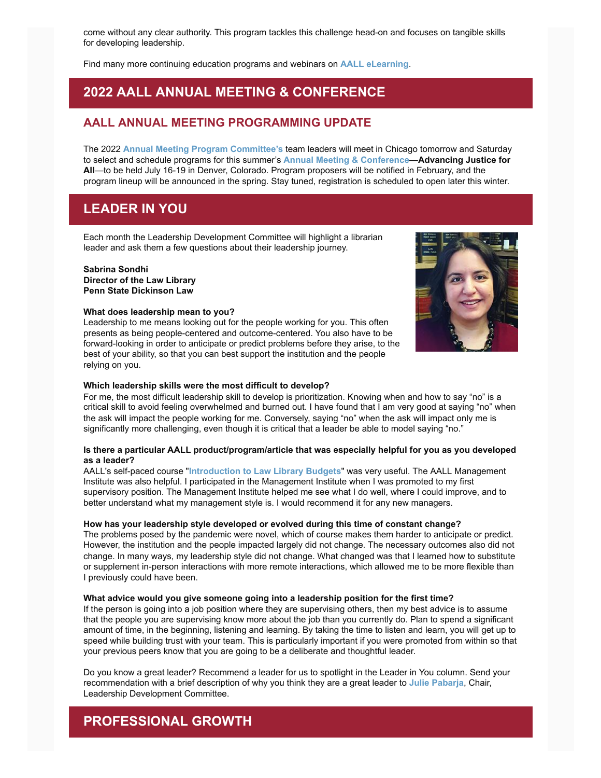come without any clear authority. This program tackles this challenge head-on and focuses on tangible skills for developing leadership.

Find many more continuing education programs and webinars on **[AALL eLearning](https://elearning.aallnet.org/)**.

# **2022 AALL ANNUAL MEETING & CONFERENCE**

### **AALL ANNUAL MEETING PROGRAMMING UPDATE**

The 2022 **[Annual Meeting Program Committee's](https://www.aallnet.org/conference/resources/proposing-a-program/ampc-content-area-teams/)** team leaders will meet in Chicago tomorrow and Saturday to select and schedule programs for this summer's **[Annual Meeting & Conference](https://www.aallnet.org/conference/)**—**Advancing Justice for All**—to be held July 16-19 in Denver, Colorado. Program proposers will be notified in February, and the program lineup will be announced in the spring. Stay tuned, registration is scheduled to open later this winter.

# **LEADER IN YOU**

Each month the Leadership Development Committee will highlight a librarian leader and ask them a few questions about their leadership journey.

### **Sabrina Sondhi**

**Director of the Law Library Penn State Dickinson Law**

#### **What does leadership mean to you?**

Leadership to me means looking out for the people working for you. This often presents as being people-centered and outcome-centered. You also have to be forward-looking in order to anticipate or predict problems before they arise, to the best of your ability, so that you can best support the institution and the people relying on you.



#### **Which leadership skills were the most difficult to develop?**

For me, the most difficult leadership skill to develop is prioritization. Knowing when and how to say "no" is a critical skill to avoid feeling overwhelmed and burned out. I have found that I am very good at saying "no" when the ask will impact the people working for me. Conversely, saying "no" when the ask will impact only me is significantly more challenging, even though it is critical that a leader be able to model saying "no."

#### **Is there a particular AALL product/program/article that was especially helpful for you as you developed as a leader?**

AALL's self-paced course "**[Introduction to Law Library Budgets](https://elearning.aallnet.org/products/introduction-to-law-library-budgets-2)**" was very useful. The AALL Management Institute was also helpful. I participated in the Management Institute when I was promoted to my first supervisory position. The Management Institute helped me see what I do well, where I could improve, and to better understand what my management style is. I would recommend it for any new managers.

#### **How has your leadership style developed or evolved during this time of constant change?**

The problems posed by the pandemic were novel, which of course makes them harder to anticipate or predict. However, the institution and the people impacted largely did not change. The necessary outcomes also did not change. In many ways, my leadership style did not change. What changed was that I learned how to substitute or supplement in-person interactions with more remote interactions, which allowed me to be more flexible than I previously could have been.

#### **What advice would you give someone going into a leadership position for the first time?**

If the person is going into a job position where they are supervising others, then my best advice is to assume that the people you are supervising know more about the job than you currently do. Plan to spend a significant amount of time, in the beginning, listening and learning. By taking the time to listen and learn, you will get up to speed while building trust with your team. This is particularly important if you were promoted from within so that your previous peers know that you are going to be a deliberate and thoughtful leader.

Do you know a great leader? Recommend a leader for us to spotlight in the Leader in You column. Send your recommendation with a brief description of why you think they are a great leader to **[Julie Pabarja](mailto:julie.pabarja@lw.com)**, Chair, Leadership Development Committee.

# **PROFESSIONAL GROWTH**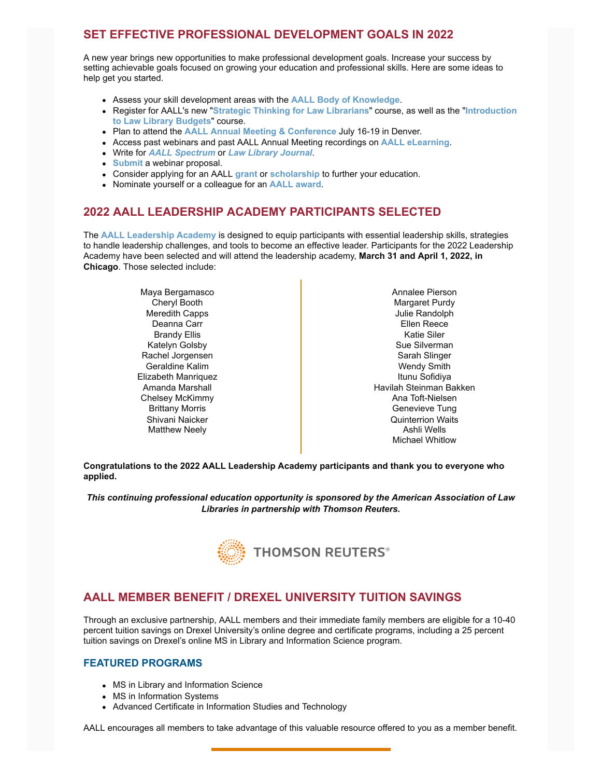# **SET EFFECTIVE PROFESSIONAL DEVELOPMENT GOALS IN 2022**

A new year brings new opportunities to make professional development goals. Increase your success by setting achievable goals focused on growing your education and professional skills. Here are some ideas to help get you started.

- Assess your skill development areas with the **[AALL Body of Knowledge](https://www.aallnet.org/wp-content/uploads/2018/07/BoK-FINAL-06.22.2018-web.pdf)**.
- Register for AALL's new "**[Strategic Thinking for Law Librarian](https://elearning.aallnet.org/products/strategic-thinking-for-law-librarians)[s](https://elearning.aallnet.org/products/introduction-to-law-library-budgets-2)**" course, as well as the "**Introduction to Law Library Budgets**" course.
- Plan to attend the **[AALL Annual Meeting & Conference](https://www.aallnet.org/conference/)** July 16-19 in Denver.
- Access past webinars and past AALL Annual Meeting recordings on **[AALL eLearning](https://elearning.aallnet.org/)**.
- Write for *[AALL Spectrum](https://www.aallnet.org/resources-publications/publications/aall-spectrum/spectrumarticlesubmission/)* or *[Law Library Journal](https://www.aallnet.org/about-us/what-we-do/policies/association-policies/llj-editorial-policy/)*.
- **[Submit](https://www.aallnet.org/education-training/elearning/request-webinar-proposals/) a webinar proposal.**
- Consider applying for an AALL **[grant](https://www.aallnet.org/education-training/grants/)** or **[scholarship](https://www.aallnet.org/education-training/scholarships/)** to further your education.
- Nominate yourself or a colleague for an **[AALL award](https://www.aallnet.org/community/recognition/awards-program/)**.

# **2022 AALL LEADERSHIP ACADEMY PARTICIPANTS SELECTED**

The **[AALL Leadership Academy](https://www.aallnet.org/education-training/in-person-programs-seminars/leadership-academy/)** is designed to equip participants with essential leadership skills, strategies to handle leadership challenges, and tools to become an effective leader. Participants for the 2022 Leadership Academy have been selected and will attend the leadership academy, **March 31 and April 1, 2022, in Chicago**. Those selected include:

> Maya Bergamasco Cheryl Booth Meredith Capps Deanna Carr Brandy Ellis Katelyn Golsby Rachel Jorgensen Geraldine Kalim Elizabeth Manriquez Amanda Marshall Chelsey McKimmy Brittany Morris Shivani Naicker Matthew Neely

Annalee Pierson Margaret Purdy Julie Randolph Ellen Reece Katie Siler Sue Silverman Sarah Slinger Wendy Smith Itunu Sofidiya Havilah Steinman Bakken Ana Toft-Nielsen Genevieve Tung Quinterrion Waits Ashli Wells Michael Whitlow

**Congratulations to the 2022 AALL Leadership Academy participants and thank you to everyone who applied.**

*This continuing professional education opportunity is sponsored by the American Association of Law Libraries in partnership with Thomson Reuters.*



# **AALL MEMBER BENEFIT / DREXEL UNIVERSITY TUITION SAVINGS**

Through an exclusive partnership, AALL members and their immediate family members are eligible for a 10-40 percent tuition savings on Drexel University's online degree and certificate programs, including a 25 percent tuition savings on Drexel's online MS in Library and Information Science program.

#### **FEATURED PROGRAMS**

- MS in Library and Information Science
- MS in Information Systems
- Advanced Certificate in Information Studies and Technology

AALL encourages all members to take advantage of this valuable resource offered to you as a member benefit.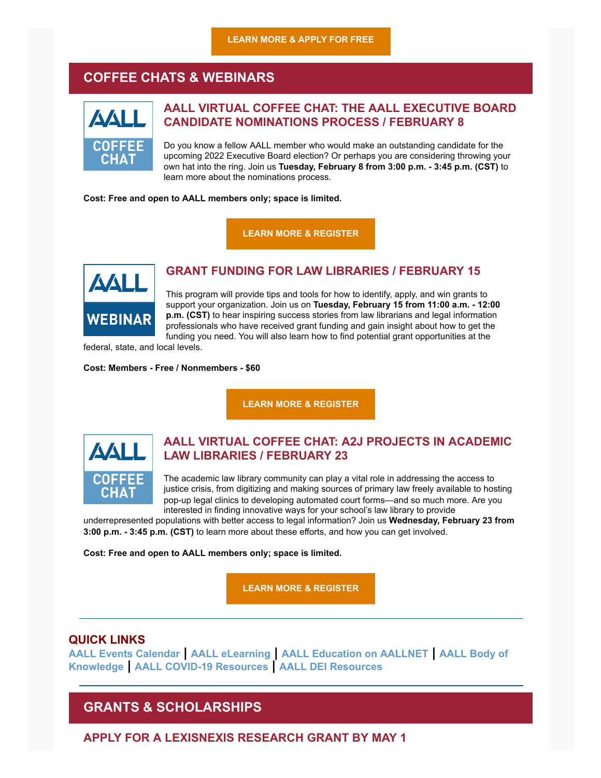# **COFFEE CHATS & WEBINARS**



# **AALL VIRTUAL COFFEE CHAT: THE AALL EXECUTIVE BOARD CANDIDATE NOMINATIONS PROCESS / FEBRUARY 8**

Do you know a fellow AALL member who would make an outstanding candidate for the upcoming 2022 Executive Board election? Or perhaps you are considering throwing your own hat into the ring. Join us **Tuesday, February 8 from 3:00 p.m. - 3:45 p.m. (CST)** to learn more about the nominations process.

**Cost: Free and open to AALL members only; space is limited.**

**[LEARN MORE & REGISTER](https://elearning.aallnet.org/products/virtual-coffee-chat-the-aall-executive-board-candidate-nominations-process)**



# **GRANT FUNDING FOR LAW LIBRARIES / FEBRUARY 15**

This program will provide tips and tools for how to identify, apply, and win grants to support your organization. Join us on **Tuesday, February 15 from 11:00 a.m. - 12:00 p.m. (CST)** to hear inspiring success stories from law librarians and legal information professionals who have received grant funding and gain insight about how to get the funding you need. You will also learn how to find potential grant opportunities at the

federal, state, and local levels.

**Cost: Members - Free / Nonmembers - \$60**

**[LEARN MORE & REGISTER](https://elearning.aallnet.org/products/grant-funding-for-law-libraries#tab-product_tab_overview)**



# **AALL VIRTUAL COFFEE CHAT: A2J PROJECTS IN ACADEMIC LAW LIBRARIES / FEBRUARY 23**

The academic law library community can play a vital role in addressing the access to justice crisis, from digitizing and making sources of primary law freely available to hosting pop-up legal clinics to developing automated court forms—and so much more. Are you interested in finding innovative ways for your school's law library to provide

underrepresented populations with better access to legal information? Join us **Wednesday, February 23 from 3:00 p.m. - 3:45 p.m. (CST)** to learn more about these efforts, and how you can get involved.

**Cost: Free and open to AALL members only; space is limited.**

**[LEARN MORE & REGISTER](https://elearning.aallnet.org/products/virtual-coffee-chat-a2j-projects-in-academic-law-libraries#tab-product_tab_overview)**

### **QUICK LINKS**

**[AALL Events Calendar](https://www.aallnet.org/forms/MeetingCalendar/) | [AALL eLearning](https://elearning.aallnet.org/) | [AALL Education on AALLNET](https://www.aallnet.org/education-training/bok/) | AALL Body of Knowledge | [AALL COVID-19 Resources](https://www.aallnet.org/about-us/press-room/coronavirus/) | [AALL DEI Resources](https://www.aallnet.org/about-us/press-room/anti-racism-diversity-equity-inclusion/)**

# **GRANTS & SCHOLARSHIPS**

**APPLY FOR A LEXISNEXIS RESEARCH GRANT BY MAY 1**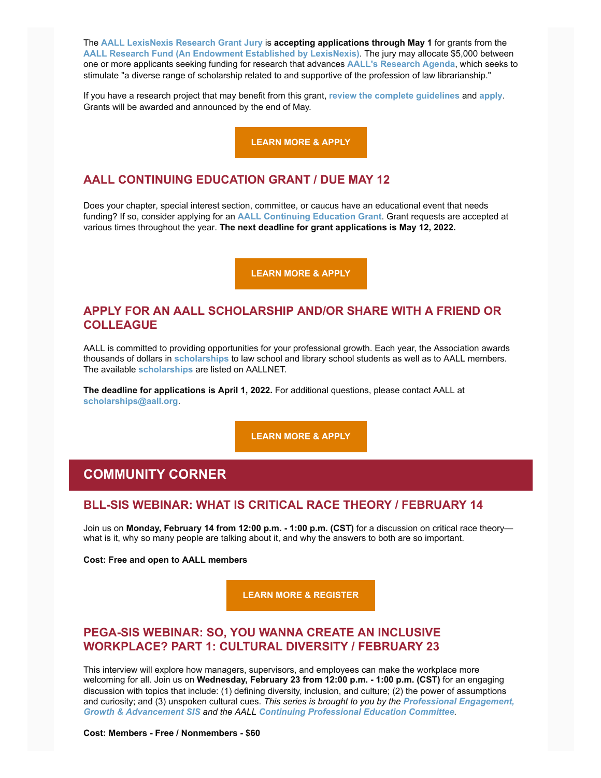The **[AALL LexisNexis Research Grant Jury](https://www.aallnet.org/about-us/who-we-are/committees-juries/lexisnexis-research-grant-jury/)** is **accepting applications through May 1** for grants from the **[AALL Research Fund \(An Endowment Established by LexisNexis\)](https://www.aallnet.org/education-training/grants/research-grants/)**. The jury may allocate \$5,000 between one or more applicants seeking funding for research that advances **[AALL's](https://www.aallnet.org/education-training/grants/research-grants/research-agenda/) [Research Agenda](https://www.aallnet.org/education-training/grants/research-grants/research-agenda/)**, which seeks to stimulate "a diverse range of scholarship related to and supportive of the profession of law librarianship."

If you have a research project that may benefit from this grant, **[review the complete guidelines](https://www.aallnet.org/education-training/grants/research-grants/)** and **[apply](https://www.aallnet.org/wp-content/uploads/2021/10/aall-grant-researchfund.pdf)**. Grants will be awarded and announced by the end of May.

**[LEARN MORE & APPLY](https://www.aallnet.org/wp-content/uploads/2021/10/aall-grant-researchfund.pdf)**

### **AALL CONTINUING EDUCATION GRANT / DUE MAY 12**

Does your chapter, special interest section, committee, or caucus have an educational event that needs funding? If so, consider applying for an **[AALL Continuing Education Grant](https://www.aallnet.org/education-training/grants/cpe-program-grants/)**. Grant requests are accepted at various times throughout the year. **The next deadline for grant applications is May 12, 2022.**

**[LEARN MORE & APPLY](https://www.aallnet.org/education-training/grants/cpe-program-grants/)**

### **APPLY FOR AN AALL SCHOLARSHIP AND/OR SHARE WITH A FRIEND OR COLLEAGUE**

AALL is committed to providing opportunities for your professional growth. Each year, the Association awards thousands of dollars in **[scholarships](https://www.aallnet.org/education-training/scholarships/)** to law school and library school students as well as to AALL members. The available **[scholarships](https://www.aallnet.org/education-training/scholarships/)** are listed on AALLNET.

**The deadline for applications is April 1, 2022.** For additional questions, please contact AALL at **[scholarships@aall.org](mailto:scholarships@aall.org)**.

**[LEARN MORE & APPLY](https://www.aallnet.org/education-training/scholarships/)**

# **COMMUNITY CORNER**

### **BLL-SIS WEBINAR: WHAT IS CRITICAL RACE THEORY / FEBRUARY 14**

Join us on **Monday, February 14 from 12:00 p.m. - 1:00 p.m. (CST)** for a discussion on critical race theory what is it, why so many people are talking about it, and why the answers to both are so important.

**Cost: Free and open to AALL members**

**[LEARN MORE & REGISTER](https://register.gotowebinar.com/register/2524775985847612431)**

# **PEGA-SIS WEBINAR: SO, YOU WANNA CREATE AN INCLUSIVE WORKPLACE? PART 1: CULTURAL DIVERSITY / FEBRUARY 23**

This interview will explore how managers, supervisors, and employees can make the workplace more welcoming for all. Join us on **Wednesday, February 23 from 12:00 p.m. - 1:00 p.m. (CST)** for an engaging discussion with topics that include: (1) defining diversity, inclusion, and culture; (2) the power of assumptions and curiosity; and (3) unspoken cultural cues. *This series is brought to you by the Professional Engagement, Growth & Advancement SIS and the AALL [Continuing Professional Education Committee](https://www.aallnet.org/pegasis/).*

**Cost: Members - Free / Nonmembers - \$60**